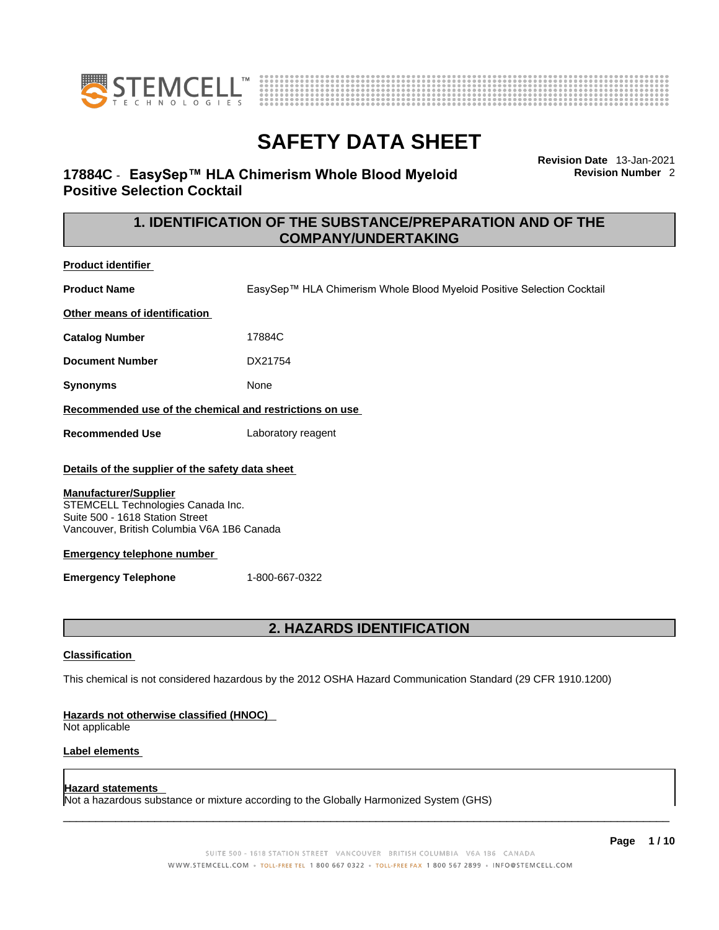



# **17884C** - **EasySep™ HLA Chimerism Whole Blood Myeloid Positive Selection Cocktail**

**Revision Date** 13-Jan-2021 **Revision Number** 2

# **1. IDENTIFICATION OF THE SUBSTANCE/PREPARATION AND OF THE COMPANY/UNDERTAKING**

**Product identifier**

**Product Name** EasySep™ HLA Chimerism Whole Blood Myeloid Positive Selection Cocktail

**Other means of identification**

**Catalog Number** 17884C

**Document Number** DX21754

**Synonyms** None

**Recommended use of the chemical and restrictions on use**

**Recommended Use** Laboratory reagent

#### **Details of the supplier of the safety data sheet**

#### **Manufacturer/Supplier**

STEMCELL Technologies Canada Inc. Suite 500 - 1618 Station Street Vancouver, British Columbia V6A 1B6 Canada

#### **Emergency telephone number**

**Emergency Telephone** 1-800-667-0322

### **2. HAZARDS IDENTIFICATION**

#### **Classification**

This chemical is not considered hazardous by the 2012 OSHA Hazard Communication Standard (29 CFR 1910.1200)

#### **Hazards not otherwise classified (HNOC)**

Not applicable

#### **Label elements**

#### **Hazard statements**

Not a hazardous substance or mixture according to the Globally Harmonized System (GHS)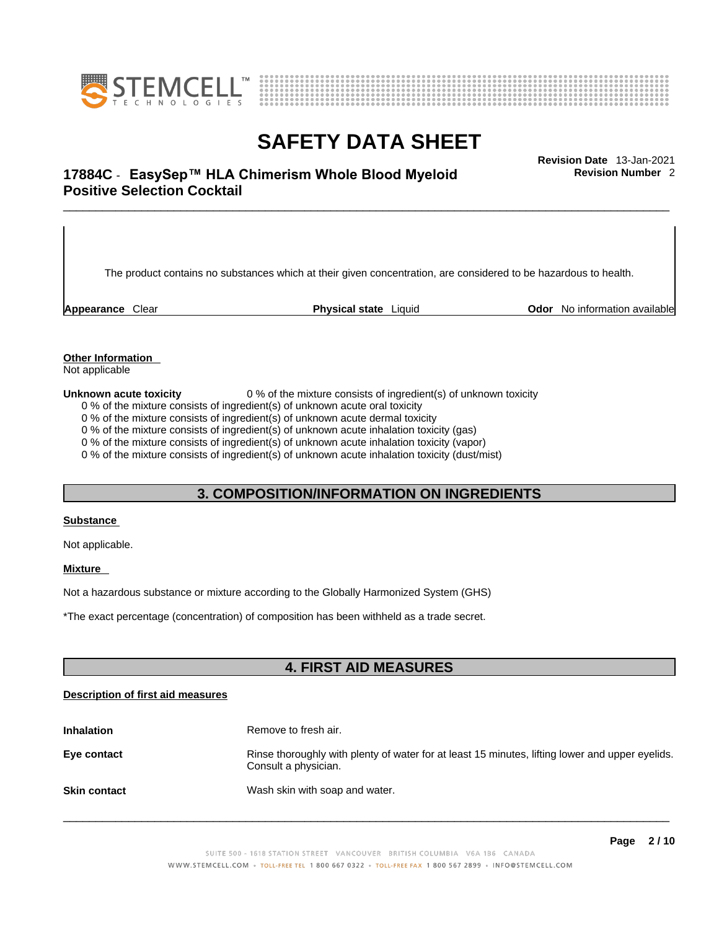



# \_\_\_\_\_\_\_\_\_\_\_\_\_\_\_\_\_\_\_\_\_\_\_\_\_\_\_\_\_\_\_\_\_\_\_\_\_\_\_\_\_\_\_\_\_\_\_\_\_\_\_\_\_\_\_\_\_\_\_\_\_\_\_\_\_\_\_\_\_\_\_\_\_\_\_\_\_\_\_\_\_\_\_\_\_\_\_\_\_\_\_\_\_ **Revision Date** 13-Jan-2021 **17884C** - **EasySep™ HLA Chimerism Whole Blood Myeloid Positive Selection Cocktail**

The product contains no substances which at their given concentration, are considered to be hazardous to health.

**Appearance** Clear **Physical state** Liquid **Odor** No information available

**Revision Number** 2

**Other Information** 

Not applicable

**Unknown acute toxicity** 0 % of the mixture consists of ingredient(s) of unknown toxicity

0 % of the mixture consists of ingredient(s) of unknown acute oral toxicity

0 % of the mixture consists of ingredient(s) of unknown acute dermal toxicity

0 % of the mixture consists of ingredient(s) of unknown acute inhalation toxicity (gas)

0 % of the mixture consists of ingredient(s) of unknown acute inhalation toxicity (vapor)

0 % of the mixture consists of ingredient(s) of unknown acute inhalation toxicity (dust/mist)

### **3. COMPOSITION/INFORMATION ON INGREDIENTS**

#### **Substance**

Not applicable.

### **Mixture**

Not a hazardous substance or mixture according to the Globally Harmonized System (GHS)

\*The exact percentage (concentration) ofcomposition has been withheld as a trade secret.

### **4. FIRST AID MEASURES**

#### **Description of first aid measures**

| <b>Inhalation</b>   | Remove to fresh air.                                                                                                    |
|---------------------|-------------------------------------------------------------------------------------------------------------------------|
| Eye contact         | Rinse thoroughly with plenty of water for at least 15 minutes, lifting lower and upper eyelids.<br>Consult a physician. |
| <b>Skin contact</b> | Wash skin with soap and water.                                                                                          |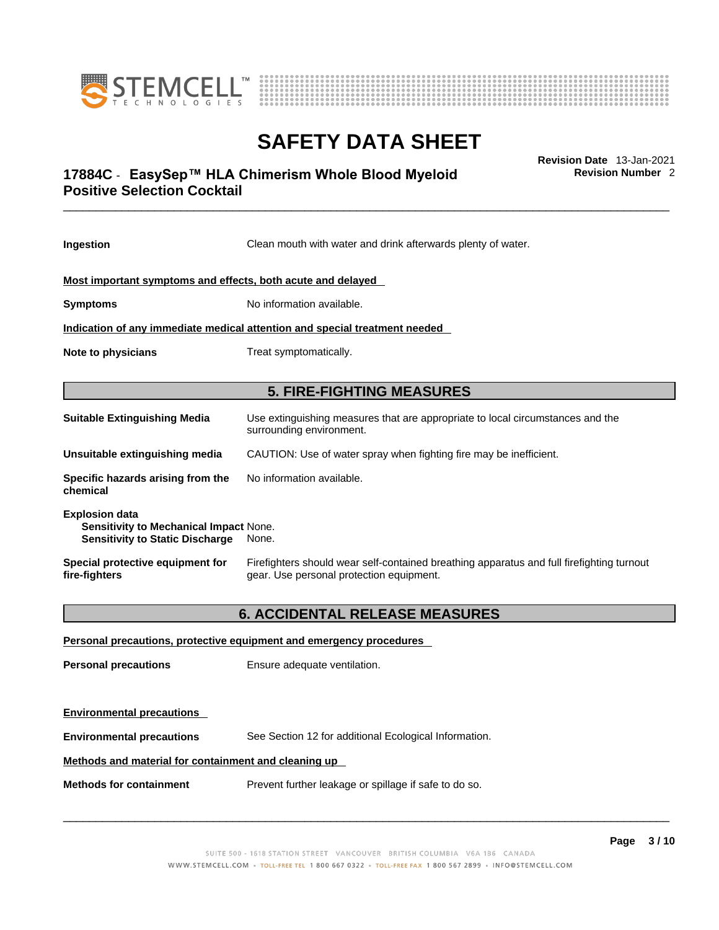



# \_\_\_\_\_\_\_\_\_\_\_\_\_\_\_\_\_\_\_\_\_\_\_\_\_\_\_\_\_\_\_\_\_\_\_\_\_\_\_\_\_\_\_\_\_\_\_\_\_\_\_\_\_\_\_\_\_\_\_\_\_\_\_\_\_\_\_\_\_\_\_\_\_\_\_\_\_\_\_\_\_\_\_\_\_\_\_\_\_\_\_\_\_ **Revision Date** 13-Jan-2021 **17884C** - **EasySep™ HLA Chimerism Whole Blood Myeloid Positive Selection Cocktail**

**Revision Number** 2

| Ingestion                                                                                                 | Clean mouth with water and drink afterwards plenty of water.                                                                          |  |
|-----------------------------------------------------------------------------------------------------------|---------------------------------------------------------------------------------------------------------------------------------------|--|
| Most important symptoms and effects, both acute and delayed                                               |                                                                                                                                       |  |
| <b>Symptoms</b>                                                                                           | No information available.                                                                                                             |  |
|                                                                                                           | Indication of any immediate medical attention and special treatment needed                                                            |  |
| <b>Note to physicians</b>                                                                                 | Treat symptomatically.                                                                                                                |  |
| <b>5. FIRE-FIGHTING MEASURES</b>                                                                          |                                                                                                                                       |  |
| <b>Suitable Extinguishing Media</b>                                                                       | Use extinguishing measures that are appropriate to local circumstances and the<br>surrounding environment.                            |  |
| Unsuitable extinguishing media                                                                            | CAUTION: Use of water spray when fighting fire may be inefficient.                                                                    |  |
| Specific hazards arising from the<br>chemical                                                             | No information available.                                                                                                             |  |
| <b>Explosion data</b><br>Sensitivity to Mechanical Impact None.<br><b>Sensitivity to Static Discharge</b> | None.                                                                                                                                 |  |
| Special protective equipment for<br>fire-fighters                                                         | Firefighters should wear self-contained breathing apparatus and full firefighting turnout<br>gear. Use personal protection equipment. |  |
|                                                                                                           |                                                                                                                                       |  |
|                                                                                                           | <b>6. ACCIDENTAL RELEASE MEASURES</b>                                                                                                 |  |
|                                                                                                           | Personal precautions, protective equipment and emergency procedures                                                                   |  |
| <b>Personal precautions</b>                                                                               | Ensure adequate ventilation.                                                                                                          |  |
|                                                                                                           |                                                                                                                                       |  |

**Environmental precautions** See Section 12 for additional Ecological Information.

### **Methods and material for containment and cleaning up**

**Environmental precautions** 

**Methods for containment** Prevent further leakage or spillage if safe to do so.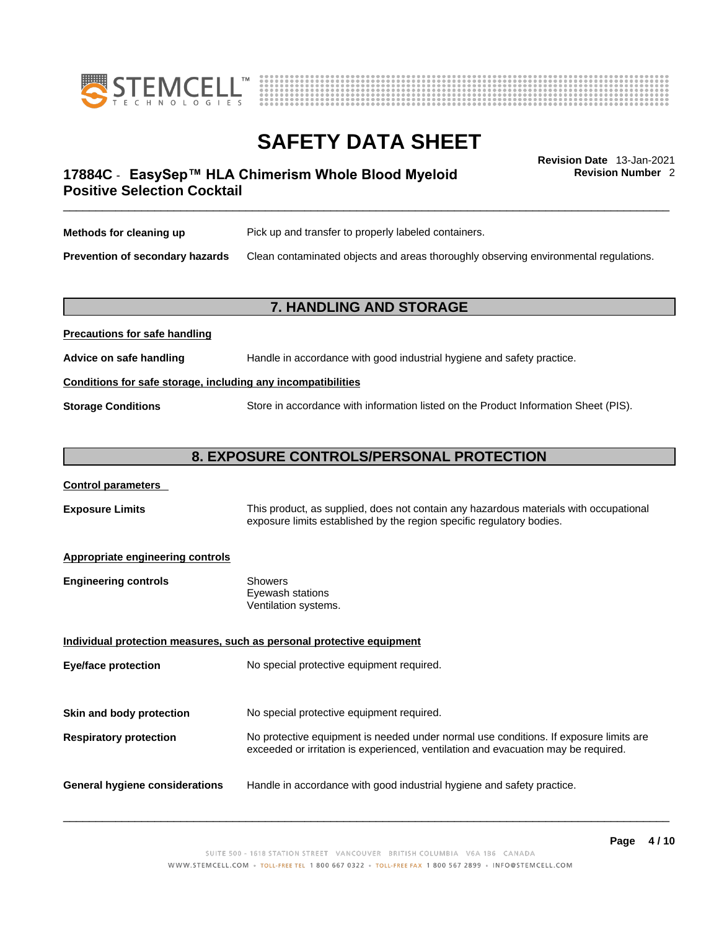



**Revision Number** 2

# \_\_\_\_\_\_\_\_\_\_\_\_\_\_\_\_\_\_\_\_\_\_\_\_\_\_\_\_\_\_\_\_\_\_\_\_\_\_\_\_\_\_\_\_\_\_\_\_\_\_\_\_\_\_\_\_\_\_\_\_\_\_\_\_\_\_\_\_\_\_\_\_\_\_\_\_\_\_\_\_\_\_\_\_\_\_\_\_\_\_\_\_\_ **Revision Date** 13-Jan-2021 **17884C** - **EasySep™ HLA Chimerism Whole Blood Myeloid Positive Selection Cocktail**

| Methods for cleaning up                | Pick up and transfer to properly labeled containers.                                 |
|----------------------------------------|--------------------------------------------------------------------------------------|
| <b>Prevention of secondary hazards</b> | Clean contaminated objects and areas thoroughly observing environmental regulations. |

### **7. HANDLING AND STORAGE**

# **Precautions for safe handling Advice on safe handling** Handle in accordance with good industrial hygiene and safety practice. **Conditions for safe storage, including any incompatibilities Storage Conditions** Store in accordance with information listed on the Product Information Sheet (PIS).

### **8. EXPOSURE CONTROLS/PERSONAL PROTECTION**

### **Control parameters**

**Exposure Limits** This product, as supplied, does not contain any hazardous materials with occupational exposure limits established by the region specific regulatory bodies.

#### **Appropriate engineering controls**

| <b>Engineering controls</b> | Showers              |
|-----------------------------|----------------------|
|                             | Eyewash stations     |
|                             | Ventilation systems. |

**Individual protection measures, such as personal protective equipment Eye/face protection** No special protective equipment required. **Skin and body protection** No special protective equipment required. **Respiratory protection** No protective equipment is needed under normal use conditions. If exposure limits are exceeded or irritation is experienced, ventilation and evacuation may be required. **General hygiene considerations** Handle in accordance with good industrial hygiene and safety practice.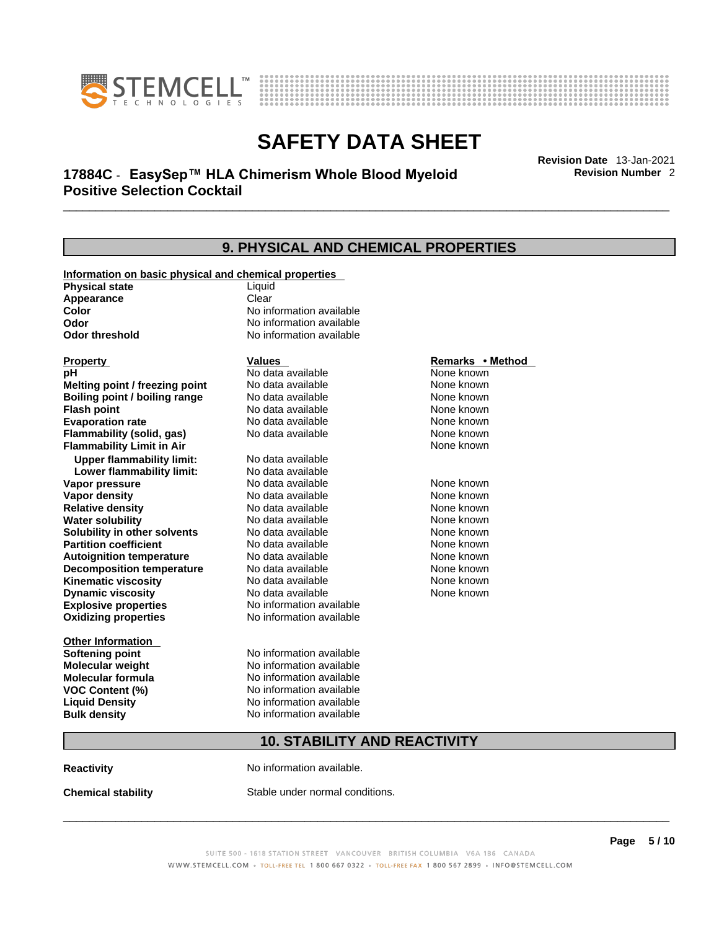



# \_\_\_\_\_\_\_\_\_\_\_\_\_\_\_\_\_\_\_\_\_\_\_\_\_\_\_\_\_\_\_\_\_\_\_\_\_\_\_\_\_\_\_\_\_\_\_\_\_\_\_\_\_\_\_\_\_\_\_\_\_\_\_\_\_\_\_\_\_\_\_\_\_\_\_\_\_\_\_\_\_\_\_\_\_\_\_\_\_\_\_\_\_ **Revision Date** 13-Jan-2021 **17884C** - **EasySep™ HLA Chimerism Whole Blood Myeloid Positive Selection Cocktail**

**Revision Number** 2

| <b>9. PHYSICAL AND CHEMICAL PROPERTIES</b>                                     |                          |                  |  |
|--------------------------------------------------------------------------------|--------------------------|------------------|--|
|                                                                                |                          |                  |  |
| Information on basic physical and chemical properties<br><b>Physical state</b> | Liquid                   |                  |  |
| Appearance                                                                     | Clear                    |                  |  |
| Color                                                                          | No information available |                  |  |
| Odor                                                                           | No information available |                  |  |
| <b>Odor threshold</b>                                                          | No information available |                  |  |
| <b>Property</b>                                                                | <b>Values</b>            | Remarks • Method |  |
| рH                                                                             | No data available        | None known       |  |
| Melting point / freezing point                                                 | No data available        | None known       |  |
| Boiling point / boiling range                                                  | No data available        | None known       |  |
| <b>Flash point</b>                                                             | No data available        | None known       |  |
| <b>Evaporation rate</b>                                                        | No data available        | None known       |  |
| Flammability (solid, gas)                                                      | No data available        | None known       |  |
| <b>Flammability Limit in Air</b>                                               |                          | None known       |  |
| <b>Upper flammability limit:</b>                                               | No data available        |                  |  |
| Lower flammability limit:                                                      | No data available        |                  |  |
| Vapor pressure                                                                 | No data available        | None known       |  |
| Vapor density                                                                  | No data available        | None known       |  |
| <b>Relative density</b>                                                        | No data available        | None known       |  |
| <b>Water solubility</b>                                                        | No data available        | None known       |  |
| Solubility in other solvents                                                   | No data available        | None known       |  |
| <b>Partition coefficient</b>                                                   | No data available        | None known       |  |
| <b>Autoignition temperature</b>                                                | No data available        | None known       |  |
| <b>Decomposition temperature</b>                                               | No data available        | None known       |  |
| <b>Kinematic viscosity</b>                                                     | No data available        | None known       |  |
| <b>Dynamic viscosity</b>                                                       | No data available        | None known       |  |
| <b>Explosive properties</b>                                                    | No information available |                  |  |
| <b>Oxidizing properties</b>                                                    | No information available |                  |  |
| Other Information                                                              |                          |                  |  |
| Softening point                                                                | No information available |                  |  |
| Molecular weight                                                               | No information available |                  |  |
| Molecular formula                                                              | No information available |                  |  |
| <b>VOC Content (%)</b>                                                         | No information available |                  |  |
| <b>Liquid Density</b>                                                          | No information available |                  |  |
| <b>Bulk density</b>                                                            | No information available |                  |  |
| <b>10. STABILITY AND REACTIVITY</b>                                            |                          |                  |  |
|                                                                                |                          |                  |  |

**Reactivity No information available.** 

**Chemical stability** Stable under normal conditions.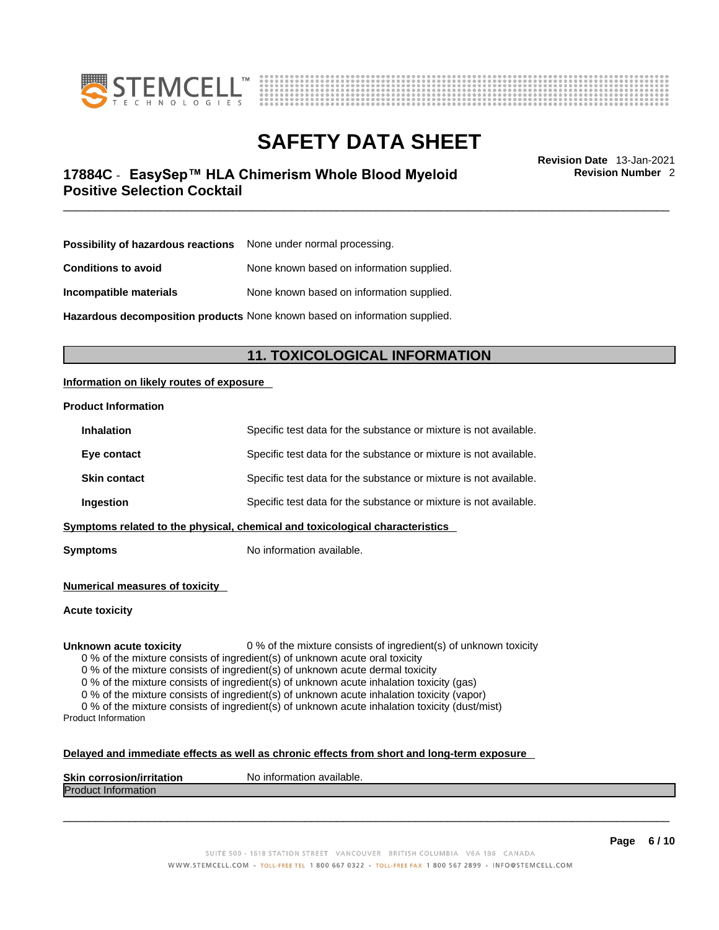



# \_\_\_\_\_\_\_\_\_\_\_\_\_\_\_\_\_\_\_\_\_\_\_\_\_\_\_\_\_\_\_\_\_\_\_\_\_\_\_\_\_\_\_\_\_\_\_\_\_\_\_\_\_\_\_\_\_\_\_\_\_\_\_\_\_\_\_\_\_\_\_\_\_\_\_\_\_\_\_\_\_\_\_\_\_\_\_\_\_\_\_\_\_ **Revision Date** 13-Jan-2021 **17884C** - **EasySep™ HLA Chimerism Whole Blood Myeloid Positive Selection Cocktail**

**Revision Number** 2

| Possibility of hazardous reactions | None under normal processing.             |
|------------------------------------|-------------------------------------------|
| <b>Conditions to avoid</b>         | None known based on information supplied. |
| Incompatible materials             | None known based on information supplied. |

**Hazardous decomposition products** None known based on information supplied.

## **11. TOXICOLOGICAL INFORMATION**

### **Information on likely routes of exposure**

#### **Product Information**

| <b>Inhalation</b>                                                            | Specific test data for the substance or mixture is not available. |  |
|------------------------------------------------------------------------------|-------------------------------------------------------------------|--|
| Eye contact                                                                  | Specific test data for the substance or mixture is not available. |  |
| <b>Skin contact</b>                                                          | Specific test data for the substance or mixture is not available. |  |
| Ingestion                                                                    | Specific test data for the substance or mixture is not available. |  |
| Symptoms related to the physical, chemical and toxicological characteristics |                                                                   |  |

**Symptoms** No information available.

**Numerical measures of toxicity**

**Acute toxicity**

**Unknown acute toxicity** 0 % of the mixture consists of ingredient(s) of unknown toxicity

0 % of the mixture consists of ingredient(s) of unknown acute oral toxicity

0 % of the mixture consists of ingredient(s) of unknown acute dermal toxicity

0 % of the mixture consists of ingredient(s) of unknown acute inhalation toxicity (gas)

0 % of the mixture consists of ingredient(s) of unknown acute inhalation toxicity (vapor)

0 % of the mixture consists of ingredient(s) of unknown acute inhalation toxicity (dust/mist) Product Information

#### **Delayed and immediate effects as well as chronic effects from short and long-term exposure**

| <b>Skin</b><br>- Lusikaksar<br>--------<br>- - --<br>-аног.<br>.cor<br>rosıc<br>וומ | `available.<br>N٥<br>'ntorm? د<br>nation |
|-------------------------------------------------------------------------------------|------------------------------------------|
| lPr∩i<br><b>Information</b>                                                         |                                          |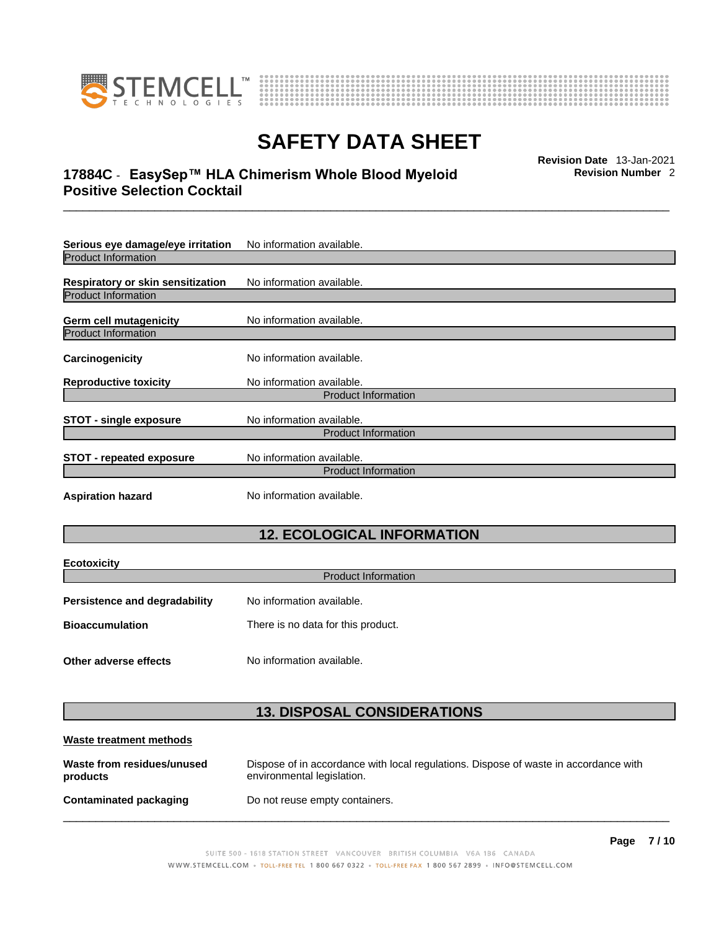

**Ecotoxicity** 



# **SAFETY DATA SHEET**

# \_\_\_\_\_\_\_\_\_\_\_\_\_\_\_\_\_\_\_\_\_\_\_\_\_\_\_\_\_\_\_\_\_\_\_\_\_\_\_\_\_\_\_\_\_\_\_\_\_\_\_\_\_\_\_\_\_\_\_\_\_\_\_\_\_\_\_\_\_\_\_\_\_\_\_\_\_\_\_\_\_\_\_\_\_\_\_\_\_\_\_\_\_ **Revision Date** 13-Jan-2021 **17884C** - **EasySep™ HLA Chimerism Whole Blood Myeloid Positive Selection Cocktail**

**Revision Number** 2

| Serious eye damage/eye irritation        | No information available.  |  |
|------------------------------------------|----------------------------|--|
| Product Information                      |                            |  |
| <b>Respiratory or skin sensitization</b> | No information available.  |  |
| <b>Product Information</b>               |                            |  |
| <b>Germ cell mutagenicity</b>            | No information available.  |  |
| <b>Product Information</b>               |                            |  |
| Carcinogenicity                          | No information available.  |  |
| <b>Reproductive toxicity</b>             | No information available.  |  |
| <b>Product Information</b>               |                            |  |
| <b>STOT - single exposure</b>            | No information available.  |  |
|                                          | <b>Product Information</b> |  |
| <b>STOT - repeated exposure</b>          | No information available.  |  |
| <b>Product Information</b>               |                            |  |
| <b>Aspiration hazard</b>                 | No information available.  |  |
|                                          |                            |  |

# **12. ECOLOGICAL INFORMATION**

| ECOLOXICITY                   |                                    |  |
|-------------------------------|------------------------------------|--|
| <b>Product Information</b>    |                                    |  |
| Persistence and degradability | No information available.          |  |
| <b>Bioaccumulation</b>        | There is no data for this product. |  |
|                               |                                    |  |
| Other adverse effects         | No information available.          |  |

# **13. DISPOSAL CONSIDERATIONS**

| Waste treatment methods                |                                                                                                                    |
|----------------------------------------|--------------------------------------------------------------------------------------------------------------------|
| Waste from residues/unused<br>products | Dispose of in accordance with local regulations. Dispose of waste in accordance with<br>environmental legislation. |
| Contaminated packaging                 | Do not reuse empty containers.                                                                                     |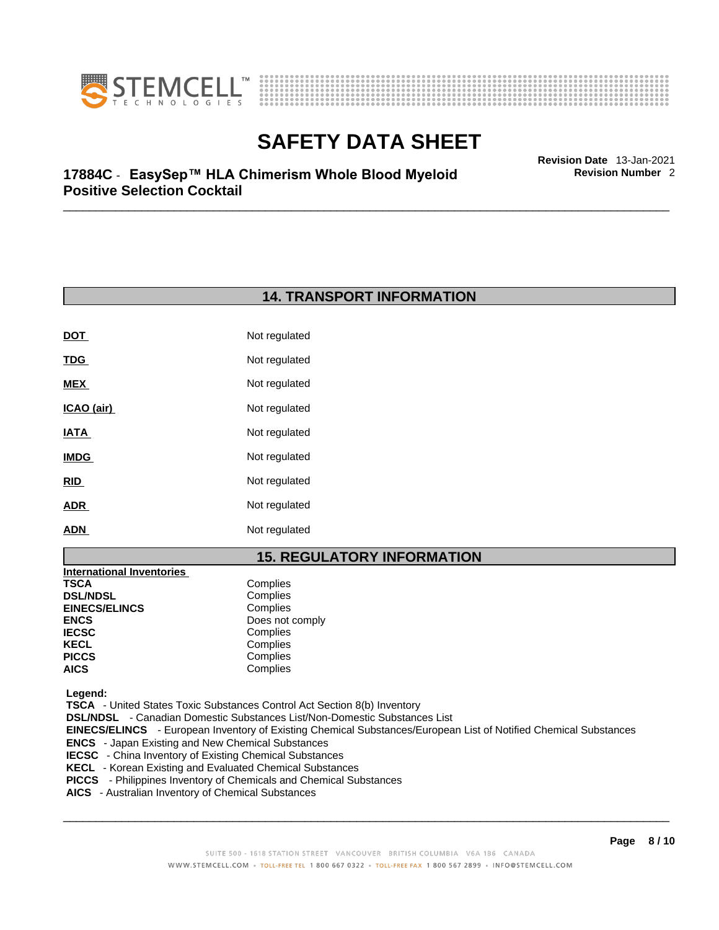



**Revision Number** 2

# \_\_\_\_\_\_\_\_\_\_\_\_\_\_\_\_\_\_\_\_\_\_\_\_\_\_\_\_\_\_\_\_\_\_\_\_\_\_\_\_\_\_\_\_\_\_\_\_\_\_\_\_\_\_\_\_\_\_\_\_\_\_\_\_\_\_\_\_\_\_\_\_\_\_\_\_\_\_\_\_\_\_\_\_\_\_\_\_\_\_\_\_\_ **Revision Date** 13-Jan-2021 **17884C** - **EasySep™ HLA Chimerism Whole Blood Myeloid Positive Selection Cocktail**

# **14. TRANSPORT INFORMATION**

| Not regulated |
|---------------|
| Not regulated |
| Not regulated |
| Not regulated |
| Not regulated |
| Not regulated |
| Not regulated |
| Not regulated |
| Not regulated |
|               |

# **15. REGULATORY INFORMATION**

| <b>International Inventories</b> |                 |
|----------------------------------|-----------------|
| TSCA                             | Complies        |
| <b>DSL/NDSL</b>                  | Complies        |
| <b>EINECS/ELINCS</b>             | Complies        |
| ENCS                             | Does not comply |
| <b>IECSC</b>                     | Complies        |
| KECL                             | Complies        |
| PICCS                            | Complies        |
| AICS                             | Complies        |
|                                  |                 |

 **Legend:** 

 **TSCA** - United States Toxic Substances Control Act Section 8(b) Inventory

 **DSL/NDSL** - Canadian Domestic Substances List/Non-Domestic Substances List

 **EINECS/ELINCS** - European Inventory of Existing Chemical Substances/European List of Notified Chemical Substances

- **ENCS**  Japan Existing and New Chemical Substances
- **IECSC**  China Inventory of Existing Chemical Substances
- **KECL**  Korean Existing and Evaluated Chemical Substances
- **PICCS**  Philippines Inventory of Chemicals and Chemical Substances
- **AICS**  Australian Inventory of Chemical Substances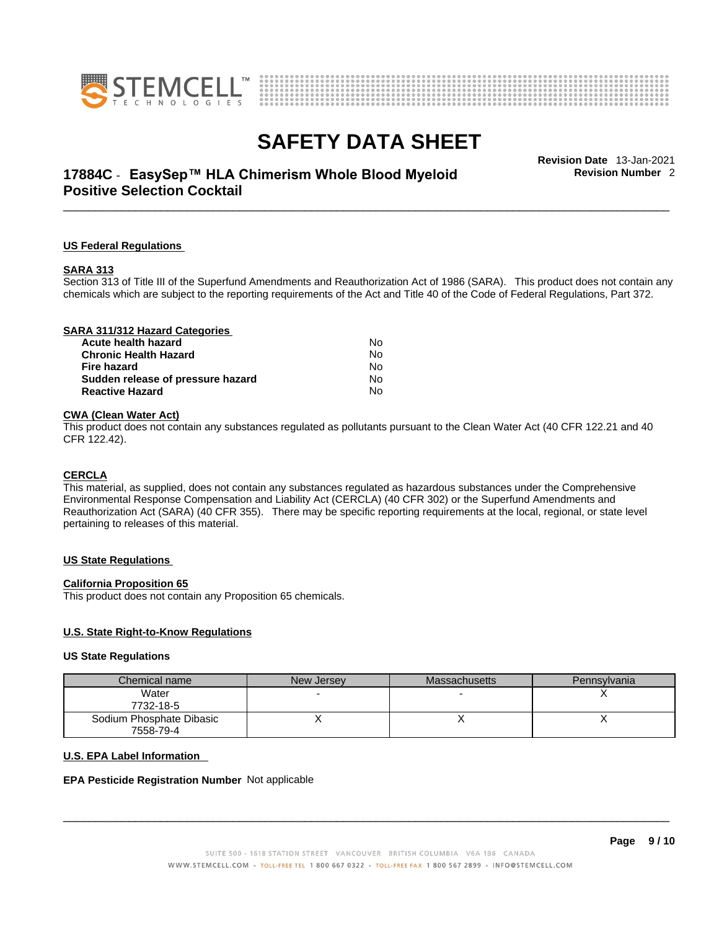



# \_\_\_\_\_\_\_\_\_\_\_\_\_\_\_\_\_\_\_\_\_\_\_\_\_\_\_\_\_\_\_\_\_\_\_\_\_\_\_\_\_\_\_\_\_\_\_\_\_\_\_\_\_\_\_\_\_\_\_\_\_\_\_\_\_\_\_\_\_\_\_\_\_\_\_\_\_\_\_\_\_\_\_\_\_\_\_\_\_\_\_\_\_ **Revision Date** 13-Jan-2021 **17884C** - **EasySep™ HLA Chimerism Whole Blood Myeloid Positive Selection Cocktail**

**Revision Number** 2

#### **US Federal Regulations**

#### **SARA 313**

Section 313 of Title III of the Superfund Amendments and Reauthorization Act of 1986 (SARA). This product does not contain any chemicals which are subject to the reporting requirements of the Act and Title 40 of the Code of Federal Regulations, Part 372.

| SARA 311/312 Hazard Categories    |    |  |
|-----------------------------------|----|--|
| Acute health hazard               | No |  |
| <b>Chronic Health Hazard</b>      | No |  |
| <b>Fire hazard</b>                | No |  |
| Sudden release of pressure hazard | No |  |
| <b>Reactive Hazard</b>            | No |  |
|                                   |    |  |

### **CWA** (Clean Water Act)

This product does not contain any substances regulated as pollutants pursuant to the Clean Water Act (40 CFR 122.21 and 40 CFR 122.42).

#### **CERCLA**

This material, as supplied, does not contain any substances regulated as hazardous substances under the Comprehensive Environmental Response Compensation and Liability Act (CERCLA) (40 CFR 302) or the Superfund Amendments and Reauthorization Act (SARA) (40 CFR 355). There may be specific reporting requirements at the local, regional, or state level pertaining to releases of this material.

#### **US State Regulations**

#### **California Proposition 65**

This product does not contain any Proposition 65 chemicals.

#### **U.S. State Right-to-Know Regulations**

#### **US State Regulations**

| Chemical name            | New Jersey | <b>Massachusetts</b> | Pennsylvania |
|--------------------------|------------|----------------------|--------------|
| Water<br>7732-18-5       |            |                      |              |
| Sodium Phosphate Dibasic |            |                      |              |
| 7558-79-4                |            |                      |              |

#### **U.S. EPA Label Information**

#### **EPA Pesticide Registration Number** Not applicable